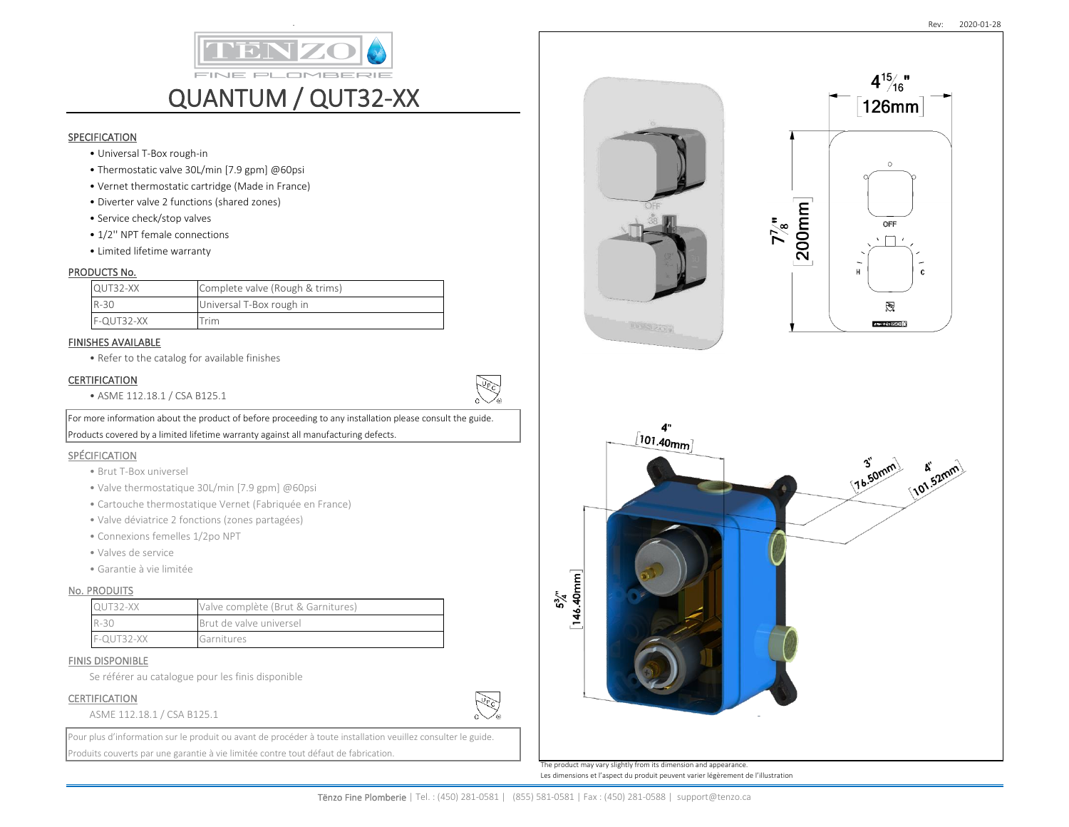

- Universal T-Box rough-in
- Thermostatic valve 30L/min [7.9 gpm] @60psi
- Vernet thermostatic cartridge (Made in France)
- Diverter valve 2 functions (shared zones)
- Service check/stop valves
- 1/2'' NPT female connections
- Limited lifetime warranty

### PRODUCTS No.

| QUT32-XX   | Complete valve (Rough & trims) |
|------------|--------------------------------|
| $R-30$     | Universal T-Box rough in       |
| F-QUT32-XX | $\tau$ rim                     |

### FINISHES AVAILABLE

• Refer to the catalog for available finishes

## CERTIFICATION

• ASME 112.18.1 / CSA B125.1

For more information about the product of before proceeding to any installation please consult the guide. Products covered by a limited lifetime warranty against all manufacturing defects.

### SPÉCIFICATION

- Brut T-Box universel
- Valve thermostatique 30L/min [7.9 gpm] @60psi
- Cartouche thermostatique Vernet (Fabriquée en France)
- Valve déviatrice 2 fonctions (zones partagées)
- Connexions femelles 1/2po NPT
- Valves de service
- Garantie à vie limitée

## No. PRODUITS

| <b>QUT32-XX</b> | Valve complète (Brut & Garnitures) |  |
|-----------------|------------------------------------|--|
| $R-30$          | Brut de valve universel            |  |
| $F-OUT32-XX$    | Garnitures                         |  |

#### FINIS DISPONIBLE

Se référer au catalogue pour les finis disponible

### CERTIFICATION

#### ASME 112.18.1 / CSA B125.1

Pour plus d'information sur le produit ou avant de procéder à toute installation veuillez consulter le guide. Produits couverts par une garantie à vie limitée contre tout défaut de fabrication.



The product may vary slightly from its dimension and appearance. Les dimensions et l'aspect du produit peuvent varier légèrement de l'illustration

**PUPIC** 

كجفيج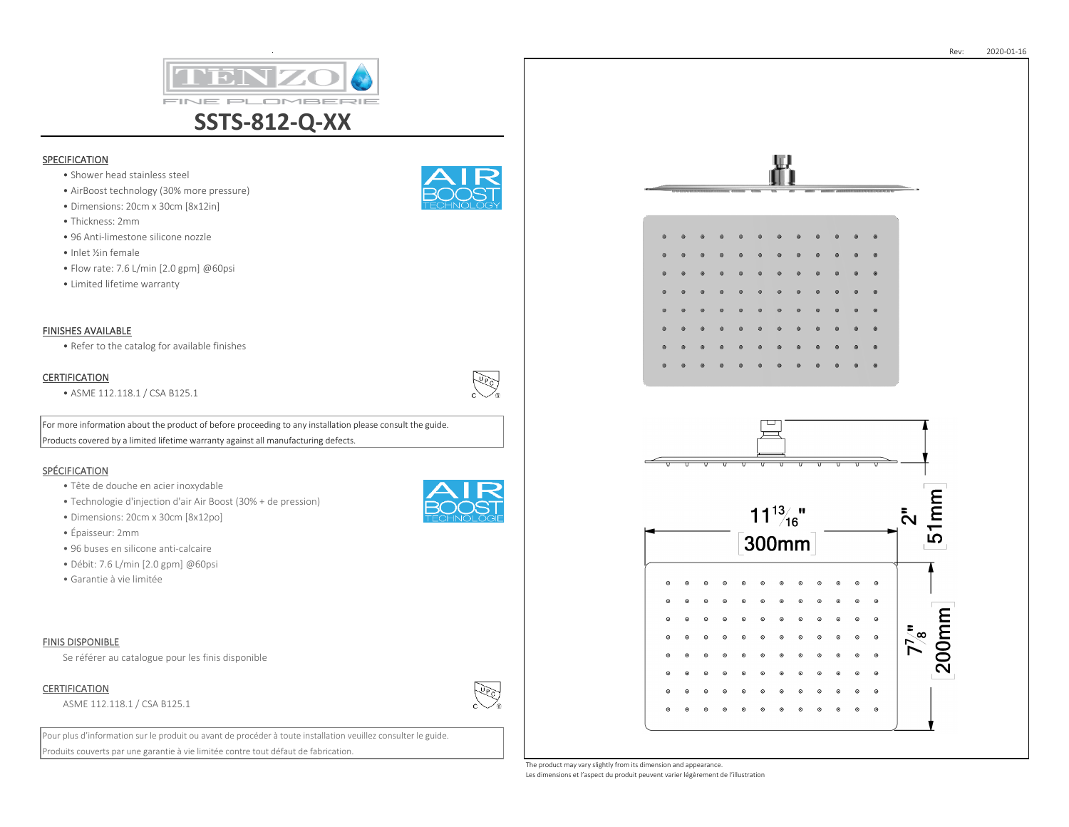

- Shower head stainless steel
- AirBoost technology (30% more pressure)
- Dimensions: 20cm x 30cm [8x12in]
- Thickness: 2mm
- 96 Anti-limestone silicone nozzle
- Inlet ½in female
- Flow rate: 7.6 L/min [2.0 gpm] @60psi
- Limited lifetime warranty



• Refer to the catalog for available finishes

## **CERTIFICATION**

• ASME 112.118.1 / CSA B125.1

For more information about the product of before proceeding to any installation please consult the guide. Products covered by a limited lifetime warranty against all manufacturing defects.

# SPÉCIFICATION

- Tête de douche en acier inoxydable
- Technologie d'injection d'air Air Boost (30% + de pression)
- Dimensions: 20cm x 30cm [8x12po]
- Épaisseur: 2mm
- 96 buses en silicone anti-calcaire
- Débit: 7.6 L/min [2.0 gpm] @60psi
- Garantie à vie limitée

### FINIS DISPONIBLE

Se référer au catalogue pour les finis disponible

## CERTIFICATION

ASME 112.118.1 / CSA B125.1

Pour plus d'information sur le produit ou avant de procéder à toute installation veuillez consulter le guide. Produits couverts par une garantie à vie limitée contre tout défaut de fabrication.







The product may vary slightly from its dimension and appearance. Les dimensions et l'aspect du produit peuvent varier légèrement de l'illustration



كجوي

سيلوكي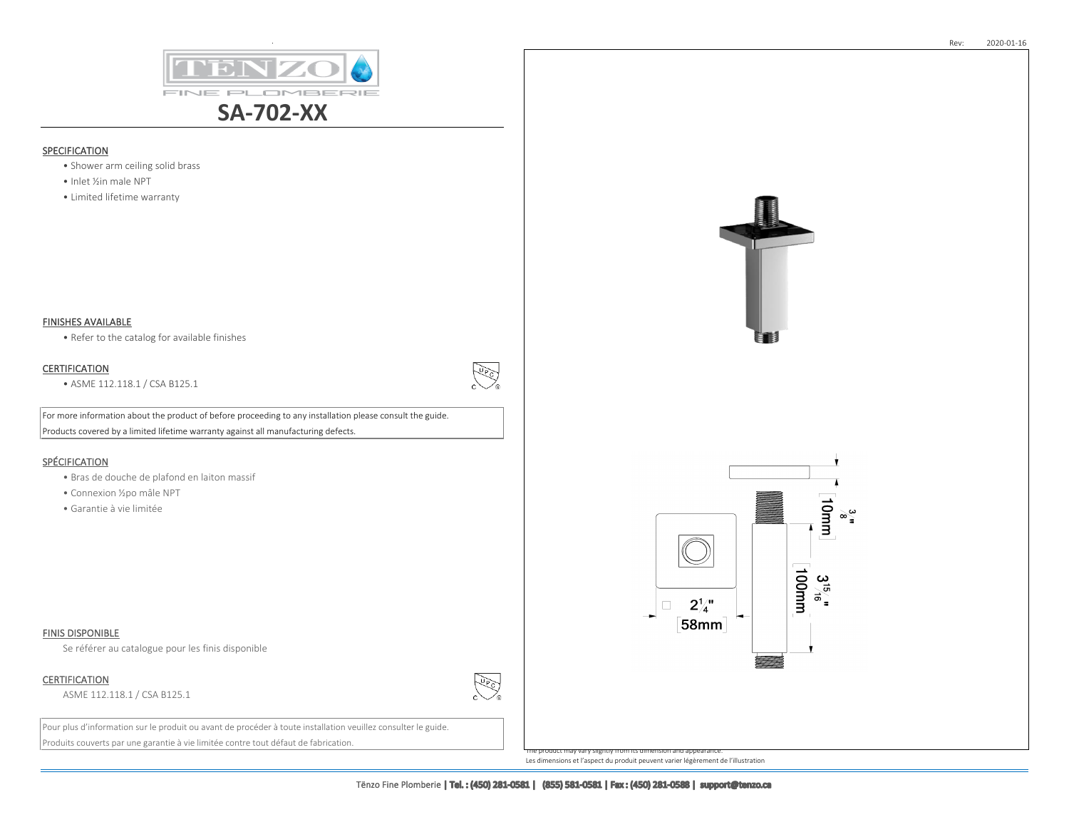

- Shower arm ceiling solid brass
- Inlet ½in male NPT
- Limited lifetime warranty

### FINISHES AVAILABLE

• Refer to the catalog for available finishes

## **CERTIFICATION**

• ASME 112.118.1 / CSA B125.1

**REA** 

**PLET** 

For more information about the product of before proceeding to any installation please consult the guide. Products covered by a limited lifetime warranty against all manufacturing defects.

## **SPÉCIFICATION**

- Bras de douche de plafond en laiton massif
- Connexion ½po mâle NPT
- Garantie à vie limitée

#### FINIS DISPONIBLE

Se référer au catalogue pour les finis disponible

CERTIFICATION

ASME 112.118.1 / CSA B125.1

Pour plus d'information sur le produit ou avant de procéder à toute installation veuillez consulter le guide. Produits couverts par une garantie à vie limitée contre tout défaut de fabrication.



The product may vary slightly from its dimension and appearance. Les dimensions et l'aspect du produit peuvent varier légèrement de l'illustration